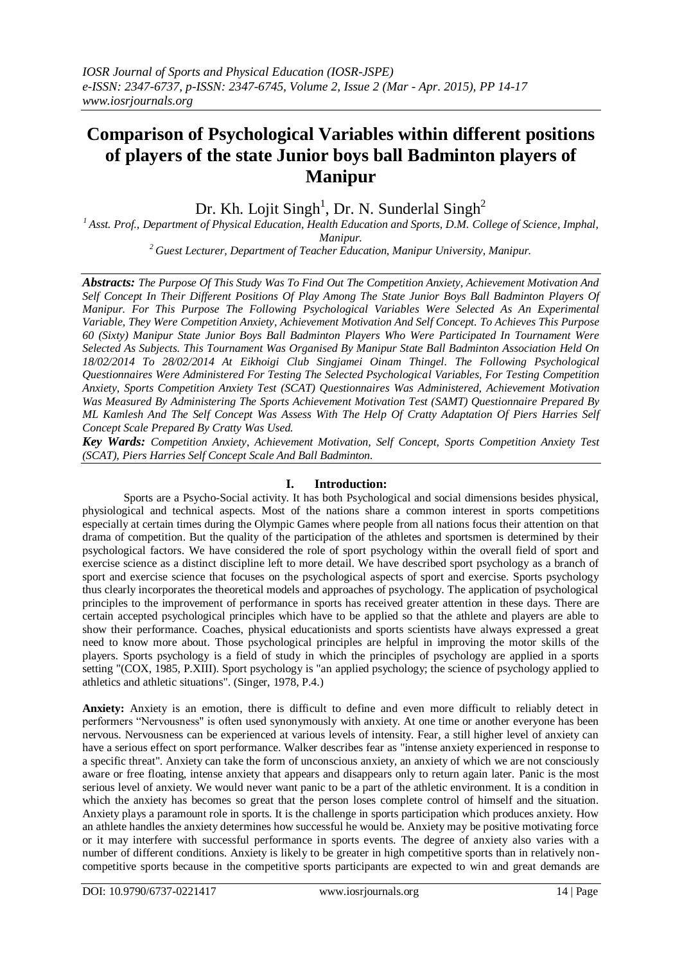# **Comparison of Psychological Variables within different positions of players of the state Junior boys ball Badminton players of Manipur**

Dr. Kh. Lojit Singh<sup>1</sup>, Dr. N. Sunderlal Singh<sup>2</sup>

*<sup>1</sup>Asst. Prof., Department of Physical Education, Health Education and Sports, D.M. College of Science, Imphal, Manipur.*

*<sup>2</sup>Guest Lecturer, Department of Teacher Education, Manipur University, Manipur.*

*Abstracts: The Purpose Of This Study Was To Find Out The Competition Anxiety, Achievement Motivation And Self Concept In Their Different Positions Of Play Among The State Junior Boys Ball Badminton Players Of Manipur. For This Purpose The Following Psychological Variables Were Selected As An Experimental Variable, They Were Competition Anxiety, Achievement Motivation And Self Concept. To Achieves This Purpose 60 (Sixty) Manipur State Junior Boys Ball Badminton Players Who Were Participated In Tournament Were Selected As Subjects. This Tournament Was Organised By Manipur State Ball Badminton Association Held On 18/02/2014 To 28/02/2014 At Eikhoigi Club Singjamei Oinam Thingel. The Following Psychological Questionnaires Were Administered For Testing The Selected Psychological Variables, For Testing Competition Anxiety, Sports Competition Anxiety Test (SCAT) Questionnaires Was Administered, Achievement Motivation Was Measured By Administering The Sports Achievement Motivation Test (SAMT) Questionnaire Prepared By ML Kamlesh And The Self Concept Was Assess With The Help Of Cratty Adaptation Of Piers Harries Self Concept Scale Prepared By Cratty Was Used.*

*Key Wards: Competition Anxiety, Achievement Motivation, Self Concept, Sports Competition Anxiety Test (SCAT), Piers Harries Self Concept Scale And Ball Badminton.*

# **I. Introduction:**

Sports are a Psycho-Social activity. It has both Psychological and social dimensions besides physical, physiological and technical aspects. Most of the nations share a common interest in sports competitions especially at certain times during the Olympic Games where people from all nations focus their attention on that drama of competition. But the quality of the participation of the athletes and sportsmen is determined by their psychological factors. We have considered the role of sport psychology within the overall field of sport and exercise science as a distinct discipline left to more detail. We have described sport psychology as a branch of sport and exercise science that focuses on the psychological aspects of sport and exercise. Sports psychology thus clearly incorporates the theoretical models and approaches of psychology. The application of psychological principles to the improvement of performance in sports has received greater attention in these days. There are certain accepted psychological principles which have to be applied so that the athlete and players are able to show their performance. Coaches, physical educationists and sports scientists have always expressed a great need to know more about. Those psychological principles are helpful in improving the motor skills of the players. Sports psychology is a field of study in which the principles of psychology are applied in a sports setting "(COX, 1985, P.XIII). Sport psychology is "an applied psychology; the science of psychology applied to athletics and athletic situations". (Singer, 1978, P.4.)

**Anxiety:** Anxiety is an emotion, there is difficult to define and even more difficult to reliably detect in performers "Nervousness" is often used synonymously with anxiety. At one time or another everyone has been nervous. Nervousness can be experienced at various levels of intensity. Fear, a still higher level of anxiety can have a serious effect on sport performance. Walker describes fear as "intense anxiety experienced in response to a specific threat". Anxiety can take the form of unconscious anxiety, an anxiety of which we are not consciously aware or free floating, intense anxiety that appears and disappears only to return again later. Panic is the most serious level of anxiety. We would never want panic to be a part of the athletic environment. It is a condition in which the anxiety has becomes so great that the person loses complete control of himself and the situation. Anxiety plays a paramount role in sports. It is the challenge in sports participation which produces anxiety. How an athlete handles the anxiety determines how successful he would be. Anxiety may be positive motivating force or it may interfere with successful performance in sports events. The degree of anxiety also varies with a number of different conditions. Anxiety is likely to be greater in high competitive sports than in relatively noncompetitive sports because in the competitive sports participants are expected to win and great demands are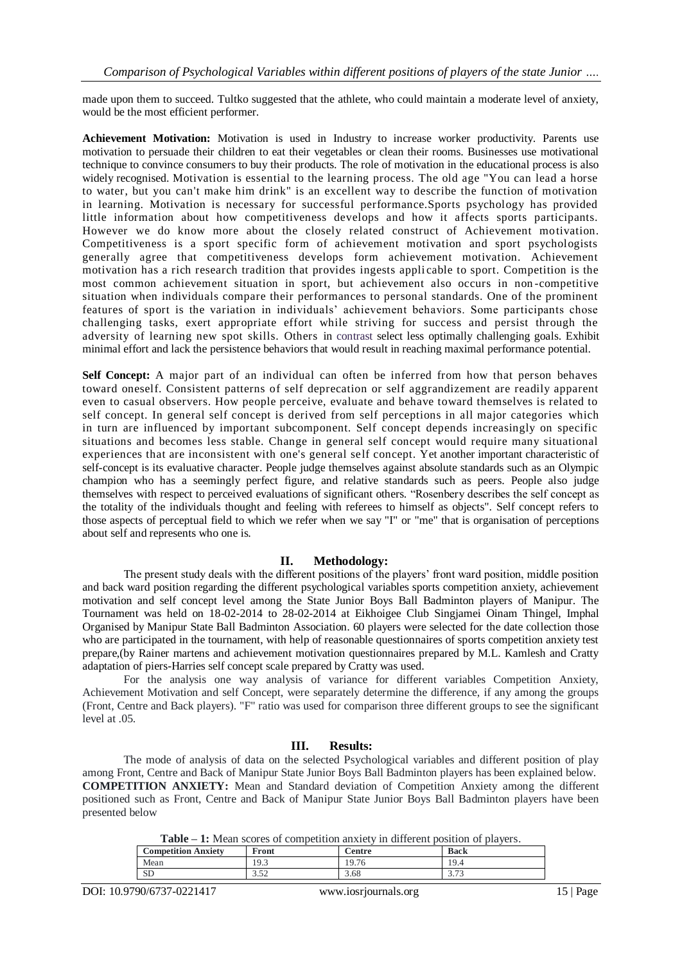made upon them to succeed. Tultko suggested that the athlete, who could maintain a moderate level of anxiety, would be the most efficient performer.

**Achievement Motivation:** Motivation is used in Industry to increase worker productivity. Parents use motivation to persuade their children to eat their vegetables or clean their rooms. Businesses use motivational technique to convince consumers to buy their products. The role of motivation in the educational process is also widely recognised. Motivation is essential to the learning process. The old age "You can lead a horse to water, but you can't make him drink" is an excellent way to describe the function of motivation in learning. Motivation is necessary for successful performance.Sports psychology has provided little information about how competitiveness develops and how it affects sports participants. However we do know more about the closely related construct of Achievement motivation. Competitiveness is a sport specific form of achievement motivation and sport psychologists generally agree that competitiveness develops form achievement motivation. Achievement motivation has a rich research tradition that provides ingests appli cable to sport. Competition is the most common achievement situation in sport, but achievement also occurs in non -competitive situation when individuals compare their performances to personal standards. One of the prominent features of sport is the variation in individuals' achievement behaviors. Some participants chose challenging tasks, exert appropriate effort while striving for success and persist through the adversity of learning new spot skills. Others in contrast select less optimally challenging goals. Exhibit minimal effort and lack the persistence behaviors that would result in reaching maximal performance potential.

**Self Concept:** A major part of an individual can often be inferred from how that person behaves toward oneself. Consistent patterns of self deprecation or self aggrandizement are readily apparent even to casual observers. How people perceive, evaluate and behave toward themselves is related to self concept. In general self concept is derived from self perceptions in all major categories which in turn are influenced by important subcomponent. Self concept depends increasingly on specific situations and becomes less stable. Change in general self concept would require many situational experiences that are inconsistent with one's general self concept. Yet another important characteristic of self-concept is its evaluative character. People judge themselves against absolute standards such as an Olympic champion who has a seemingly perfect figure, and relative standards such as peers. People also judge themselves with respect to perceived evaluations of significant others. "Rosenbery describes the self concept as the totality of the individuals thought and feeling with referees to himself as objects". Self concept refers to those aspects of perceptual field to which we refer when we say "I" or "me" that is organisation of perceptions about self and represents who one is.

## **II. Methodology:**

The present study deals with the different positions of the players' front ward position, middle position and back ward position regarding the different psychological variables sports competition anxiety, achievement motivation and self concept level among the State Junior Boys Ball Badminton players of Manipur. The Tournament was held on 18-02-2014 to 28-02-2014 at Eikhoigee Club Singjamei Oinam Thingel, Imphal Organised by Manipur State Ball Badminton Association. 60 players were selected for the date collection those who are participated in the tournament, with help of reasonable questionnaires of sports competition anxiety test prepare,(by Rainer martens and achievement motivation questionnaires prepared by M.L. Kamlesh and Cratty adaptation of piers-Harries self concept scale prepared by Cratty was used.

For the analysis one way analysis of variance for different variables Competition Anxiety, Achievement Motivation and self Concept, were separately determine the difference, if any among the groups (Front, Centre and Back players). "F" ratio was used for comparison three different groups to see the significant level at .05.

## **III. Results:**

The mode of analysis of data on the selected Psychological variables and different position of play among Front, Centre and Back of Manipur State Junior Boys Ball Badminton players has been explained below. **COMPETITION ANXIETY:** Mean and Standard deviation of Competition Anxiety among the different positioned such as Front, Centre and Back of Manipur State Junior Boys Ball Badminton players have been presented below

**Table – 1:** Mean scores of competition anxiety in different position of players.

| <b>Competition Anxiety</b> | Front                   | <b>Centre</b>              | <b>Back</b>   |
|----------------------------|-------------------------|----------------------------|---------------|
| Mean                       | Q <sub>3</sub><br>ر . ر | 19.7 <sup>2</sup><br>Y. 16 | 19.4          |
| שפ                         | $\sim$ $\sim$<br>ے رہ   | 3.68                       | 27<br>ن ا د ک |

DOI: 10.9790/6737-0221417 www.iosrjournals.org 15 | Page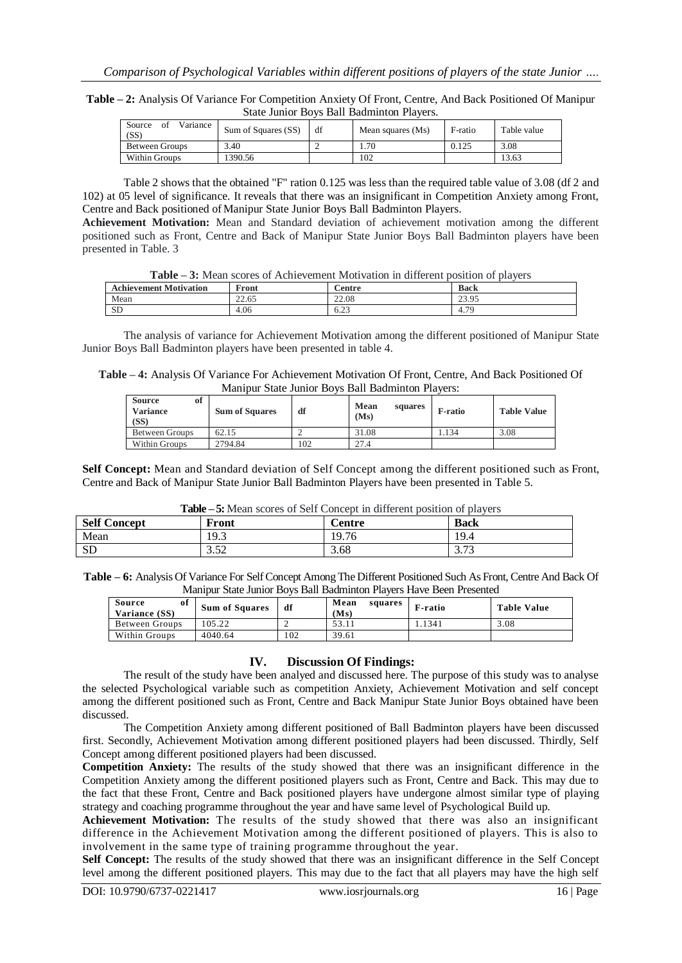**Table – 2:** Analysis Of Variance For Competition Anxiety Of Front, Centre, And Back Positioned Of Manipur State Junior Boys Ball Badminton Players.

| Source<br>Variance<br>-ot<br>(SS) | Sum of Squares (SS) | df | Mean squares (Ms) | F-ratio | Table value |
|-----------------------------------|---------------------|----|-------------------|---------|-------------|
| <b>Between Groups</b>             | 3.40                |    | . . 70            | 0.125   | 3.08        |
| Within Groups                     | 390.56              |    | 102               |         | 13.63       |

Table 2 shows that the obtained "F" ration 0.125 was less than the required table value of 3.08 (df 2 and 102) at 05 level of significance. It reveals that there was an insignificant in Competition Anxiety among Front, Centre and Back positioned of Manipur State Junior Boys Ball Badminton Players.

**Achievement Motivation:** Mean and Standard deviation of achievement motivation among the different positioned such as Front, Centre and Back of Manipur State Junior Boys Ball Badminton players have been presented in Table. 3

| Table – 3: Mean scores of Achievement Motivation in different position of players |  |
|-----------------------------------------------------------------------------------|--|
|-----------------------------------------------------------------------------------|--|

| <b>Achievement Motivation</b> | $\mathbf{F}_{\text{ront}}$ | ∠entre         | <b>Back</b> |
|-------------------------------|----------------------------|----------------|-------------|
| Mean                          | 22.65                      | 22.08          | 23.95       |
| <b>SD</b>                     | 4.06                       | $\cap$<br>0.23 | 70<br>4.7   |

The analysis of variance for Achievement Motivation among the different positioned of Manipur State Junior Boys Ball Badminton players have been presented in table 4.

**Table – 4:** Analysis Of Variance For Achievement Motivation Of Front, Centre, And Back Positioned Of Manipur State Junior Boys Ball Badminton Players:

| <b>Source</b><br>ot<br>Variance<br>(SS) | <b>Sum of Squares</b> | df  | Mean<br>squares<br>(Ms) | <b>F-ratio</b> | <b>Table Value</b> |
|-----------------------------------------|-----------------------|-----|-------------------------|----------------|--------------------|
| Between Groups                          | 62.15                 |     | 31.08                   | . 134          | 3.08               |
| Within Groups                           | 2794.84               | 102 | 27.4                    |                |                    |

**Self Concept:** Mean and Standard deviation of Self Concept among the different positioned such as Front, Centre and Back of Manipur State Junior Ball Badminton Players have been presented in Table 5.

|  |  | Table – 5: Mean scores of Self Concept in different position of players |  |
|--|--|-------------------------------------------------------------------------|--|
|  |  |                                                                         |  |

| <b>Self Concept</b> | Front               | <b>Centre</b> | <b>Back</b>              |
|---------------------|---------------------|---------------|--------------------------|
| Mean                | 19.3                | 19.76         | 19.4                     |
| <b>SD</b>           | $\epsilon$<br>ے ر.ر | 3.68          | $\sim$ $\sim$<br>ر ، ، ب |

**Table – 6:** Analysis Of Variance For Self Concept Among The Different Positioned Such As Front, Centre And Back Of Manipur State Junior Boys Ball Badminton Players Have Been Presented

| Source<br>of<br>Variance (SS) | <b>Sum of Squares</b> | df  | Mean<br>squares<br>(Ms) | F-ratio | <b>Table Value</b> |
|-------------------------------|-----------------------|-----|-------------------------|---------|--------------------|
| Between Groups                | 105.22                |     | 53.11                   | 1.1341  | 3.08               |
| Within Groups                 | 4040.64               | 102 | 39.61                   |         |                    |

## **IV. Discussion Of Findings:**

The result of the study have been analyed and discussed here. The purpose of this study was to analyse the selected Psychological variable such as competition Anxiety, Achievement Motivation and self concept among the different positioned such as Front, Centre and Back Manipur State Junior Boys obtained have been discussed.

The Competition Anxiety among different positioned of Ball Badminton players have been discussed first. Secondly, Achievement Motivation among different positioned players had been discussed. Thirdly, Self Concept among different positioned players had been discussed.

**Competition Anxiety:** The results of the study showed that there was an insignificant difference in the Competition Anxiety among the different positioned players such as Front, Centre and Back. This may due to the fact that these Front, Centre and Back positioned players have undergone almost similar type of playing strategy and coaching programme throughout the year and have same level of Psychological Build up.

**Achievement Motivation:** The results of the study showed that there was also an insignificant difference in the Achievement Motivation among the different positioned of players. This is also to involvement in the same type of training programme throughout the year.

**Self Concept:** The results of the study showed that there was an insignificant difference in the Self Concept level among the different positioned players. This may due to the fact that all players may have the high self